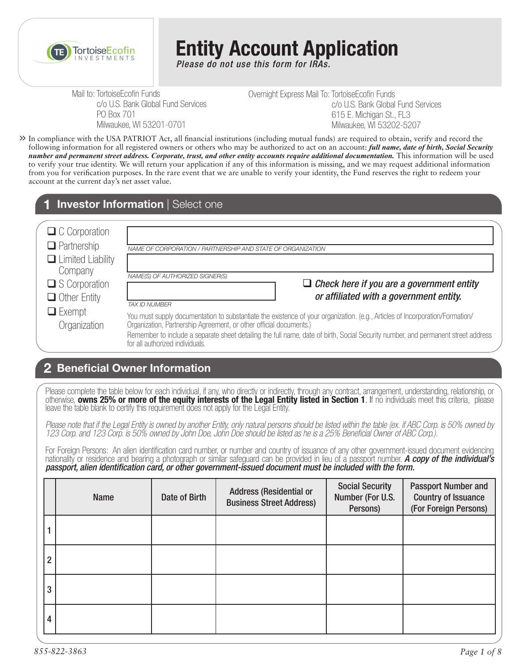

# **Entity Account Application**

*Please do not use this form for IRAs.*

Mail to: TortoiseEcofin Funds c/o U.S. Bank Global Fund Services PO Box 701 Milwaukee, WI 53201-0701

Overnight Express Mail To: TortoiseEcofin Funds c/o U.S. Bank Global Fund Services 615 E. Michigan St., FL3 Milwaukee, WI 53202-5207

In compliance with the USA PATRIOT Act, all financial institutions (including mutual funds) are required to obtain, verify and record the **>>** following information for all registered owners or others who may be authorized to act on an account: *full name, date of birth, Social Security number and permanent street address. Corporate, trust, and other entity accounts require additional documentation.* This information will be used to verify your true identity. We will return your application if any of this information is missing, and we may request additional information from you for verification purposes. In the rare event that we are unable to verify your identity, the Fund reserves the right to redeem your account at the current day's net asset value.

### **1 Investor Information** | Select one

| $\Box$ C Corporation<br>$\Box$ Partnership                                            | NAME OF CORPORATION / PARTNERSHIP AND STATE OF ORGANIZATION                                                                                                                                                                                                                                                                                                                 |
|---------------------------------------------------------------------------------------|-----------------------------------------------------------------------------------------------------------------------------------------------------------------------------------------------------------------------------------------------------------------------------------------------------------------------------------------------------------------------------|
| $\Box$ Limited Liability<br>Company<br>$\square$ S Corporation<br>$\Box$ Other Entity | NAME(S) OF AUTHORIZED SIGNER(S)<br>$\Box$ Check here if you are a government entity<br>or affiliated with a government entity.<br><b>TAX ID NUMBER</b>                                                                                                                                                                                                                      |
| $\Box$ Exempt<br>Organization                                                         | You must supply documentation to substantiate the existence of your organization. (e.g., Articles of Incorporation/Formation/<br>Organization, Partnership Agreement, or other official documents.)<br>Remember to include a separate sheet detailing the full name, date of birth, Social Security number, and permanent street address<br>for all authorized individuals. |

## **Beneficial Owner Information 2**

Please complete the table below for each individual, if any, who directly or indirectly, through any contract, arrangement, understanding, relationship, or otherwise, **owns 25% or more of the equity interests of the Legal Entity listed in Section 1**. If no individuals meet this criteria, please leave the table blank to certify this requirement does not apply for the Legal Entity.

*Please note that if the Legal Entity is owned by another Entity, only natural persons should be listed within the table (ex. if ABC Corp. is 50% owned by 123 Corp. and 123 Corp. is 50% owned by John Doe, John Doe should be listed as he is a 25% Beneficial Owner of ABC Corp.).* 

For Foreign Persons: An alien identification card number, or number and country of issuance of any other government-issued document evidencing nationality or residence and bearing a photograph or similar safeguard can be provided in lieu of a passport number. *A copy of the individual's passport, alien identification card, or other government-issued document must be included with the form.* 

|                | <b>Name</b> | Date of Birth | <b>Address (Residential or</b><br><b>Business Street Address)</b> | <b>Social Security</b><br>Number (For U.S.<br>Persons) | <b>Passport Number and</b><br><b>Country of Issuance</b><br>(For Foreign Persons) |
|----------------|-------------|---------------|-------------------------------------------------------------------|--------------------------------------------------------|-----------------------------------------------------------------------------------|
|                |             |               |                                                                   |                                                        |                                                                                   |
| $\overline{2}$ |             |               |                                                                   |                                                        |                                                                                   |
| 3              |             |               |                                                                   |                                                        |                                                                                   |
| 4              |             |               |                                                                   |                                                        |                                                                                   |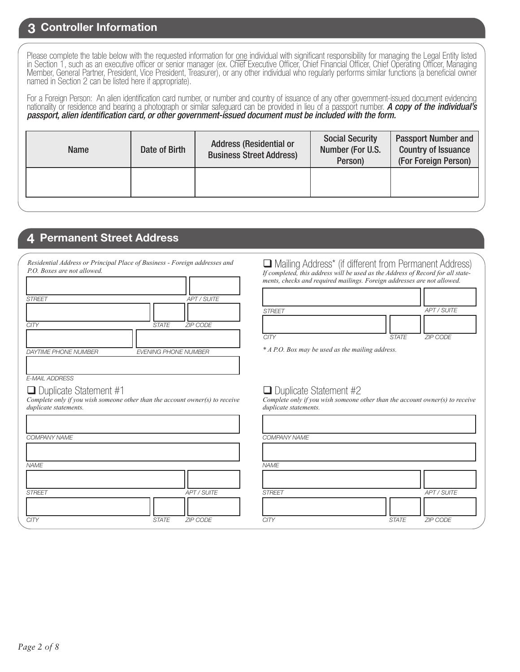#### **3 Controller Information**

Please complete the table below with the requested information for one individual with significant responsibility for managing the Legal Entity listed in Section 1, such as an executive officer or senior manager (ex. Chief Executive Officer, Chief Financial Officer, Chief Operating Officer, Managing Member, General Partner, President, Vice President, Treasurer), or any other individual who regularly performs similar functions (a beneficial owner named in Section 2 can be listed here if appropriate).

For a Foreign Person: An alien identification card number, or number and country of issuance of any other government-issued document evidencing nationality or residence and bearing a photograph or similar safeguard can be provided in lieu of a passport number. *A copy of the individual's passport, alien identification card, or other government-issued document must be included with the form.* 

| <b>Name</b> | Date of Birth | <b>Address (Residential or</b><br><b>Business Street Address)</b> | <b>Social Security</b><br>Number (For U.S.<br>Person) | <b>Passport Number and</b><br><b>Country of Issuance</b><br>(For Foreign Person) |
|-------------|---------------|-------------------------------------------------------------------|-------------------------------------------------------|----------------------------------------------------------------------------------|
|             |               |                                                                   |                                                       |                                                                                  |

#### **4 Permanent Street Address**

*Residential Address or Principal Place of Business - Foreign addresses and P.O. Boxes are not allowed.*

| <b>STREET</b>               | <b>APT / SUITE</b>          |
|-----------------------------|-----------------------------|
|                             |                             |
| CITY                        | STATE ZIP CODE              |
|                             |                             |
| <b>DAYTIME PHONE NUMBER</b> | <b>EVENING PHONE NUMBER</b> |
|                             |                             |

#### *E-MAIL ADDRESS*

#### $\Box$  Duplicate Statement #1

*Complete only if you wish someone other than the account owner(s) to receive duplicate statements.*

| <b>COMPANY NAME</b> |              |             | <b>COMPA</b>  |
|---------------------|--------------|-------------|---------------|
|                     |              |             |               |
| <b>NAME</b>         |              |             | <b>NAME</b>   |
|                     |              |             |               |
| <b>STREET</b>       |              | APT / SUITE | <b>STREET</b> |
|                     |              |             |               |
| <b>CITY</b>         | <b>STATE</b> | ZIP CODE    | <b>CITY</b>   |
|                     |              |             |               |

 Mailing Address\* (if different from Permanent Address) *If completed, this address will be used as the Address of Record for all statements, checks and required mailings. Foreign addresses are not allowed.*

| <b>STREET</b> |       | APT / SUITE |
|---------------|-------|-------------|
|               |       |             |
| <b>CITY</b>   | STATE | ZIP CODE    |

*\* A P.O. Box may be used as the mailing address.*

#### $\Box$  Duplicate Statement #2

*Complete only if you wish someone other than the account owner(s) to receive duplicate statements.*

|              |             | COMPANY NAME  |              |             |
|--------------|-------------|---------------|--------------|-------------|
|              |             |               |              |             |
|              |             | <b>NAME</b>   |              |             |
|              |             |               |              |             |
|              | APT / SUITE | <b>STREET</b> |              | APT / SUITE |
|              |             |               |              |             |
| <b>STATE</b> | ZIP CODE    | <b>CITY</b>   | <b>STATE</b> | ZIP CODE    |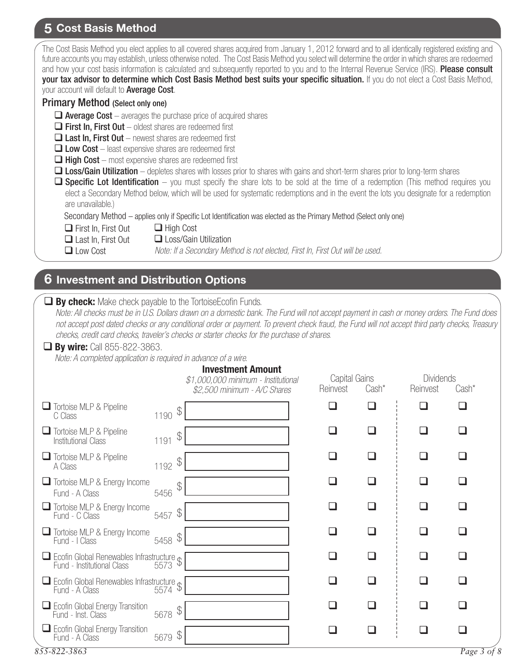# **5 Cost Basis Method**

| The Cost Basis Method you elect applies to all covered shares acquired from January 1, 2012 forward and to all identically registered existing and<br>future accounts you may establish, unless otherwise noted. The Cost Basis Method you select will determine the order in which shares are redeemed<br>and how your cost basis information is calculated and subsequently reported to you and to the Internal Revenue Service (IRS). Please consult<br>your tax advisor to determine which Cost Basis Method best suits your specific situation. If you do not elect a Cost Basis Method,<br>your account will default to Average Cost.<br><b>Primary Method (Select only one)</b><br>$\Box$ Average Cost - averages the purchase price of acquired shares<br>$\Box$ First In, First Out – oldest shares are redeemed first<br>$\Box$ Last In, First Out – newest shares are redeemed first<br>$\Box$ Low Cost – least expensive shares are redeemed first<br>$\Box$ High Cost – most expensive shares are redeemed first<br><b>Loss/Gain Utilization</b> – depletes shares with losses prior to shares with gains and short-term shares prior to long-term shares<br>$\Box$ Specific Lot Identification – you must specify the share lots to be sold at the time of a redemption (This method requires you<br>elect a Secondary Method below, which will be used for systematic redemptions and in the event the lots you designate for a redemption<br>are unavailable.) |                                                                                                          |               |                |              |                 |  |  |
|--------------------------------------------------------------------------------------------------------------------------------------------------------------------------------------------------------------------------------------------------------------------------------------------------------------------------------------------------------------------------------------------------------------------------------------------------------------------------------------------------------------------------------------------------------------------------------------------------------------------------------------------------------------------------------------------------------------------------------------------------------------------------------------------------------------------------------------------------------------------------------------------------------------------------------------------------------------------------------------------------------------------------------------------------------------------------------------------------------------------------------------------------------------------------------------------------------------------------------------------------------------------------------------------------------------------------------------------------------------------------------------------------------------------------------------------------------------------------------|----------------------------------------------------------------------------------------------------------|---------------|----------------|--------------|-----------------|--|--|
| Secondary Method - applies only if Specific Lot Identification was elected as the Primary Method (Select only one)<br>$\Box$ First In, First Out<br>$\Box$ High Cost                                                                                                                                                                                                                                                                                                                                                                                                                                                                                                                                                                                                                                                                                                                                                                                                                                                                                                                                                                                                                                                                                                                                                                                                                                                                                                           |                                                                                                          |               |                |              |                 |  |  |
| $\Box$ Last In, First Out<br><b>□</b> Low Cost                                                                                                                                                                                                                                                                                                                                                                                                                                                                                                                                                                                                                                                                                                                                                                                                                                                                                                                                                                                                                                                                                                                                                                                                                                                                                                                                                                                                                                 | □ Loss/Gain Utilization<br>Note: If a Secondary Method is not elected, First In, First Out will be used. |               |                |              |                 |  |  |
|                                                                                                                                                                                                                                                                                                                                                                                                                                                                                                                                                                                                                                                                                                                                                                                                                                                                                                                                                                                                                                                                                                                                                                                                                                                                                                                                                                                                                                                                                |                                                                                                          |               |                |              |                 |  |  |
| $\boldsymbol{6}$ Investment and Distribution Options                                                                                                                                                                                                                                                                                                                                                                                                                                                                                                                                                                                                                                                                                                                                                                                                                                                                                                                                                                                                                                                                                                                                                                                                                                                                                                                                                                                                                           |                                                                                                          |               |                |              |                 |  |  |
| <b>By check:</b> Make check payable to the TortoiseEcofin Funds.<br>Note: All checks must be in U.S. Dollars drawn on a domestic bank. The Fund will not accept payment in cash or money orders. The Fund does<br>not accept post dated checks or any conditional order or payment. To prevent check fraud, the Fund will not accept third party checks, Treasury<br>checks, credit card checks, traveler's checks or starter checks for the purchase of shares.<br><b><math>\Box</math> By wire:</b> Call 855-822-3863.<br>Note: A completed application is required in advance of a wire.<br><b>Investment Amount</b><br>Capital Gains<br><b>Dividends</b><br>\$1,000,000 minimum - Institutional                                                                                                                                                                                                                                                                                                                                                                                                                                                                                                                                                                                                                                                                                                                                                                            |                                                                                                          |               |                |              |                 |  |  |
| Tortoise MLP & Pipeline                                                                                                                                                                                                                                                                                                                                                                                                                                                                                                                                                                                                                                                                                                                                                                                                                                                                                                                                                                                                                                                                                                                                                                                                                                                                                                                                                                                                                                                        | \$2,500 minimum - A/C Shares                                                                             | Reinvest      | Cash*          | Reinvest     | Cash*<br>$\Box$ |  |  |
| \$<br>1190<br>C Class                                                                                                                                                                                                                                                                                                                                                                                                                                                                                                                                                                                                                                                                                                                                                                                                                                                                                                                                                                                                                                                                                                                                                                                                                                                                                                                                                                                                                                                          |                                                                                                          |               |                |              |                 |  |  |
| Tortoise MLP & Pipeline<br>$\mathcal{L}$<br>1191<br><b>Institutional Class</b>                                                                                                                                                                                                                                                                                                                                                                                                                                                                                                                                                                                                                                                                                                                                                                                                                                                                                                                                                                                                                                                                                                                                                                                                                                                                                                                                                                                                 |                                                                                                          |               |                | $\mathbf{r}$ | ப               |  |  |
| Tortoise MLP & Pipeline<br>1192 $\frac{1}{9}$<br>A Class                                                                                                                                                                                                                                                                                                                                                                                                                                                                                                                                                                                                                                                                                                                                                                                                                                                                                                                                                                                                                                                                                                                                                                                                                                                                                                                                                                                                                       |                                                                                                          | ❏             | ப              | ❏            | ❏               |  |  |
| Tortoise MLP & Energy Income<br>$\beta$<br>5456<br>Fund - A Class                                                                                                                                                                                                                                                                                                                                                                                                                                                                                                                                                                                                                                                                                                                                                                                                                                                                                                                                                                                                                                                                                                                                                                                                                                                                                                                                                                                                              |                                                                                                          | ப             | $\blacksquare$ | ப            | □               |  |  |
| $\Box$ Tortoise MLP & Energy Income<br>$5457$ \$<br>Fund - C Class                                                                                                                                                                                                                                                                                                                                                                                                                                                                                                                                                                                                                                                                                                                                                                                                                                                                                                                                                                                                                                                                                                                                                                                                                                                                                                                                                                                                             |                                                                                                          | ❏             | ப              | ❏            | ❏               |  |  |
| $\Box$ Tortoise MLP & Energy Income<br>$5458$ \$<br>Fund - I Class                                                                                                                                                                                                                                                                                                                                                                                                                                                                                                                                                                                                                                                                                                                                                                                                                                                                                                                                                                                                                                                                                                                                                                                                                                                                                                                                                                                                             |                                                                                                          | $\mathcal{L}$ |                |              | ப               |  |  |
| Ecofin Global Renewables Infrastructure \$<br>Fund - Institutional Class<br>5573                                                                                                                                                                                                                                                                                                                                                                                                                                                                                                                                                                                                                                                                                                                                                                                                                                                                                                                                                                                                                                                                                                                                                                                                                                                                                                                                                                                               |                                                                                                          | ❏             |                | ❏            | ❏               |  |  |
| Ecofin Global Renewables Infrastructure \$<br>Fund - A Class 5574                                                                                                                                                                                                                                                                                                                                                                                                                                                                                                                                                                                                                                                                                                                                                                                                                                                                                                                                                                                                                                                                                                                                                                                                                                                                                                                                                                                                              |                                                                                                          | H             |                |              | l 1             |  |  |
| Ecofin Global Energy Transition<br>$5678$ \$<br>Fund - Inst. Class                                                                                                                                                                                                                                                                                                                                                                                                                                                                                                                                                                                                                                                                                                                                                                                                                                                                                                                                                                                                                                                                                                                                                                                                                                                                                                                                                                                                             |                                                                                                          |               |                |              | ப               |  |  |
| $\Box$ Ecofin Global Energy Transition<br>5679 \$<br>Fund - A Class                                                                                                                                                                                                                                                                                                                                                                                                                                                                                                                                                                                                                                                                                                                                                                                                                                                                                                                                                                                                                                                                                                                                                                                                                                                                                                                                                                                                            |                                                                                                          | □             | □              | ❏            | ❏               |  |  |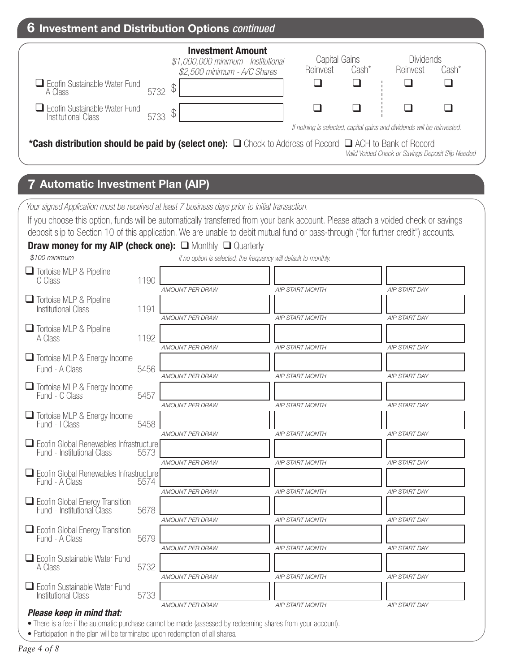| 6 Investment and Distribution Options continued                                                                                                                                                                                                                                                                                                                                                                                                           |                                                                                                      |       |                                                                                            |
|-----------------------------------------------------------------------------------------------------------------------------------------------------------------------------------------------------------------------------------------------------------------------------------------------------------------------------------------------------------------------------------------------------------------------------------------------------------|------------------------------------------------------------------------------------------------------|-------|--------------------------------------------------------------------------------------------|
| <b>Investment Amount</b><br>\$1,000,000 minimum - Institutional<br>\$2,500 minimum - A/C Shares<br>$\Box$ Ecofin Sustainable Water Fund<br>\$<br>5732<br>A Class<br>$\Box$ Ecofin Sustainable Water Fund<br>$\mathbb{S}$<br>5733<br>Institutional Class<br>*Cash distribution should be paid by (select one): $\Box$ Check to Address of Record $\Box$ ACH to Bank of Record                                                                              | Capital Gains<br>Reinvest<br>If nothing is selected, capital gains and dividends will be reinvested. | Cash* | <b>Dividends</b><br>Reinvest<br>Cash*<br>Valid Voided Check or Savings Deposit Slip Needed |
| <b>7 Automatic Investment Plan (AIP)</b>                                                                                                                                                                                                                                                                                                                                                                                                                  |                                                                                                      |       |                                                                                            |
| Your signed Application must be received at least 7 business days prior to initial transaction.<br>If you choose this option, funds will be automatically transferred from your bank account. Please attach a voided check or savings<br>deposit slip to Section 10 of this application. We are unable to debit mutual fund or pass-through ("for further credit") accounts.<br><b>Draw money for my AIP (check one):</b> $\Box$ Monthly $\Box$ Quarterly |                                                                                                      |       |                                                                                            |

| \$100 minimum                                                                |      |                        | If no option is selected, the frequency will default to monthly. |                      |
|------------------------------------------------------------------------------|------|------------------------|------------------------------------------------------------------|----------------------|
| <b>Tortoise MLP &amp; Pipeline</b><br>C Class                                | 1190 |                        |                                                                  |                      |
|                                                                              |      | <b>AMOUNT PER DRAW</b> | <b>AIP START MONTH</b>                                           | <b>AIP START DAY</b> |
| Tortoise MLP & Pipeline<br><b>Institutional Class</b>                        | 1191 |                        |                                                                  |                      |
|                                                                              |      | <b>AMOUNT PER DRAW</b> | <b>AIP START MONTH</b>                                           | <b>AIP START DAY</b> |
| Tortoise MLP & Pipeline<br>A Class                                           | 1192 |                        |                                                                  |                      |
|                                                                              |      | <b>AMOUNT PER DRAW</b> | <b>AIP START MONTH</b>                                           | <b>AIP START DAY</b> |
| Tortoise MLP & Energy Income<br>Fund - A Class                               | 5456 |                        |                                                                  |                      |
|                                                                              |      | <b>AMOUNT PER DRAW</b> | <b>AIP START MONTH</b>                                           | <b>AIP START DAY</b> |
| Tortoise MLP & Energy Income<br>Fund - C Class                               | 5457 |                        |                                                                  |                      |
|                                                                              |      | <b>AMOUNT PER DRAW</b> | <b>AIP START MONTH</b>                                           | <b>AIP START DAY</b> |
| Tortoise MLP & Energy Income<br>Fund - I Class                               | 5458 |                        |                                                                  |                      |
|                                                                              |      | <b>AMOUNT PER DRAW</b> | <b>AIP START MONTH</b>                                           | <b>AIP START DAY</b> |
| $\Box$ Ecofin Global Renewables Infrastructure<br>Fund - Institutional Class | 5573 |                        |                                                                  |                      |
|                                                                              |      | AMOUNT PER DRAW        | <b>AIP START MONTH</b>                                           | AIP START DAY        |
| Ecofin Global Renewables Infrastructure<br>Fund - A Class                    | 5574 |                        |                                                                  |                      |
|                                                                              |      | AMOUNT PER DRAW        | <b>AIP START MONTH</b>                                           | AIP START DAY        |
| Ecofin Global Energy Transition<br>Fund - Institutional Class                | 5678 |                        |                                                                  |                      |
|                                                                              |      | <b>AMOUNT PER DRAW</b> | <b>AIP START MONTH</b>                                           | <b>AIP START DAY</b> |
| $\Box$ Ecofin Global Energy Transition<br>Fund - A Class                     | 5679 |                        |                                                                  |                      |
|                                                                              |      | AMOUNT PER DRAW        | <b>AIP START MONTH</b>                                           | AIP START DAY        |
| Ecofin Sustainable Water Fund<br>A Class                                     | 5732 |                        |                                                                  |                      |
|                                                                              |      | <b>AMOUNT PER DRAW</b> | <b>AIP START MONTH</b>                                           | AIP START DAY        |
| Ecofin Sustainable Water Fund<br><b>Institutional Class</b>                  | 5733 |                        |                                                                  |                      |
| Dlange League for probabilities to                                           |      | <b>AMOUNT PER DRAW</b> | <b>AIP START MONTH</b>                                           | <b>AIP START DAY</b> |

*Please keep in mind that:*

• There is a fee if the automatic purchase cannot be made (assessed by redeeming shares from your account).

• Participation in the plan will be terminated upon redemption of all shares.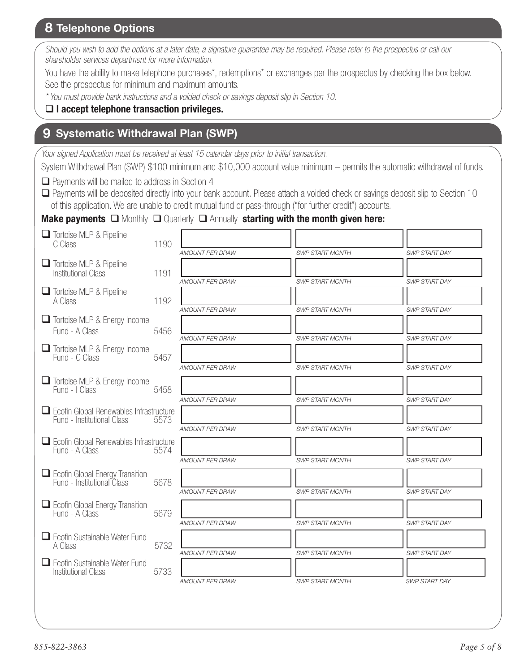## **8 Telephone Options**

*Should you wish to add the options at a later date, a signature guarantee may be required. Please refer to the prospectus or call our shareholder services department for more information.*

You have the ability to make telephone purchases\*, redemptions\* or exchanges per the prospectus by checking the box below. See the prospectus for minimum and maximum amounts.

*\* You must provide bank instructions and a voided check or savings deposit slip in Section 10.* 

#### **I accept telephone transaction privileges.**

#### **9 Systematic Withdrawal Plan (SWP)**

*Your signed Application must be received at least 15 calendar days prior to initial transaction.*

System Withdrawal Plan (SWP) \$100 minimum and \$10,000 account value minimum – permits the automatic withdrawal of funds.

 $\Box$  Payments will be mailed to address in Section 4

 Payments will be deposited directly into your bank account. Please attach a voided check or savings deposit slip to Section 10 of this application. We are unable to credit mutual fund or pass-through ("for further credit") accounts.

**Make payments**  $\Box$  Monthly  $\Box$  Quarterly  $\Box$  Annually starting with the month given here:

| Tortoise MLP & Pipeline<br>C Class                                           | 1190 | <b>AMOUNT PER DRAW</b> | <b>SWP START MONTH</b> | <b>SWP START DAY</b> |
|------------------------------------------------------------------------------|------|------------------------|------------------------|----------------------|
| Tortoise MLP & Pipeline<br><b>Institutional Class</b>                        | 1191 |                        |                        |                      |
| Tortoise MLP & Pipeline<br>A Class                                           | 1192 | <b>AMOUNT PER DRAW</b> | <b>SWP START MONTH</b> | <b>SWP START DAY</b> |
| $\Box$ Tortoise MLP & Energy Income<br>Fund - A Class                        | 5456 | <b>AMOUNT PER DRAW</b> | <b>SWP START MONTH</b> | <b>SWP START DAY</b> |
| $\Box$ Tortoise MLP & Energy Income<br>Fund - C Class                        | 5457 | AMOUNT PER DRAW        | <b>SWP START MONTH</b> | SWP START DAY        |
| $\Box$ Tortoise MLP & Energy Income                                          |      | <b>AMOUNT PER DRAW</b> | <b>SWP START MONTH</b> | <b>SWP START DAY</b> |
| Fund - I Class                                                               | 5458 | AMOUNT PER DRAW        | <b>SWP START MONTH</b> | <b>SWP START DAY</b> |
| $\Box$ Ecofin Global Renewables Infrastructure<br>Fund - Institutional Class | 5573 |                        |                        |                      |
| $\Box$ Ecofin Global Renewables Infrastructure<br>Fund - A Class             | 5574 | <b>AMOUNT PER DRAW</b> | <b>SWP START MONTH</b> | SWP START DAY        |
|                                                                              |      | AMOUNT PER DRAW        | <b>SWP START MONTH</b> | SWP START DAY        |
| Ecofin Global Energy Transition<br>Fund - Institutional Class                | 5678 | <b>AMOUNT PER DRAW</b> | <b>SWP START MONTH</b> | <b>SWP START DAY</b> |
| $\Box$ Ecofin Global Energy Transition<br>Fund - A Class                     | 5679 |                        |                        |                      |
| $\Box$ Ecofin Sustainable Water Fund                                         |      | <b>AMOUNT PER DRAW</b> | <b>SWP START MONTH</b> | <b>SWP START DAY</b> |
| A Class                                                                      | 5732 | AMOUNT PER DRAW        | <b>SWP START MONTH</b> | SWP START DAY        |
| $\Box$ Ecofin Sustainable Water Fund<br><b>Institutional Class</b>           | 5733 | <b>AMOUNT PER DRAW</b> | <b>SWP START MONTH</b> | <b>SWP START DAY</b> |
|                                                                              |      |                        |                        |                      |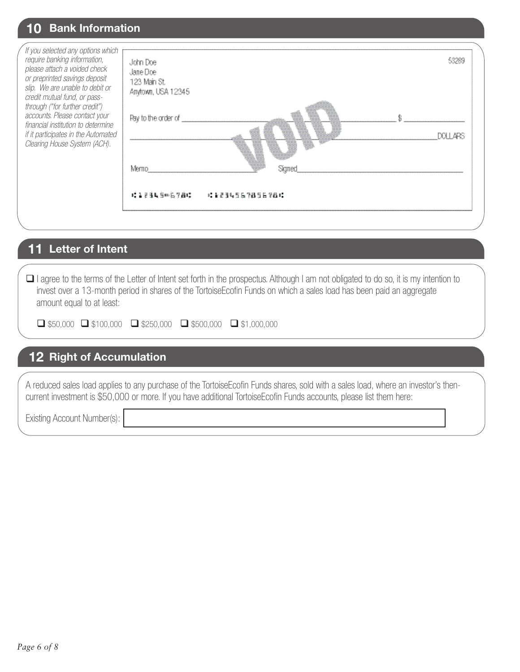# **10 Bank Information**

| If you selected any options which<br>require banking information,<br>please attach a voided check<br>or preprinted savings deposit<br>slip. We are unable to debit or<br>credit mutual fund, or pass-<br>through ("for further credit")<br>accounts. Please contact your<br>financial institution to determine<br>if it participates in the Automated<br>Clearing House System (ACH). | John Doe<br>Jane Doe<br>123 Main St.<br>Anytown, USA 12345<br>Pay to the order of<br>Merr<br>1、第三三五月三川后夕通时<br>: 123456785678 |  |
|---------------------------------------------------------------------------------------------------------------------------------------------------------------------------------------------------------------------------------------------------------------------------------------------------------------------------------------------------------------------------------------|------------------------------------------------------------------------------------------------------------------------------|--|
|                                                                                                                                                                                                                                                                                                                                                                                       |                                                                                                                              |  |

# **11 Letter of Intent**

 I agree to the terms of the Letter of Intent set forth in the prospectus. Although I am not obligated to do so, it is my intention to invest over a 13-month period in shares of the TortoiseEcofin Funds on which a sales load has been paid an aggregate amount equal to at least:

|  |  | $\Box$ \$50,000 $\Box$ \$100,000 $\Box$ \$250,000 $\Box$ \$500,000 $\Box$ \$1,000,000 |
|--|--|---------------------------------------------------------------------------------------|
|  |  |                                                                                       |

## **12 Right of Accumulation**

A reduced sales load applies to any purchase of the TortoiseEcofin Funds shares, sold with a sales load, where an investor's thencurrent investment is \$50,000 or more. If you have additional TortoiseEcofin Funds accounts, please list them here:

Existing Account Number(s):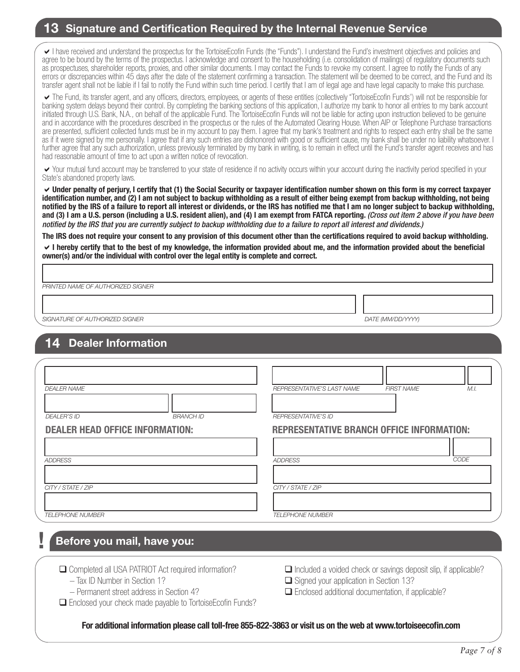#### **13 Signature and Certification Required by the Internal Revenue Service**

I have received and understand the prospectus for the TortoiseEcofin Funds (the "Funds"). I understand the Fund's investment objectives and policies and agree to be bound by the terms of the prospectus. I acknowledge and consent to the householding (i.e. consolidation of mailings) of regulatory documents such as prospectuses, shareholder reports, proxies, and other similar documents. I may contact the Funds to revoke my consent. I agree to notify the Funds of any errors or discrepancies within 45 days after the date of the statement confirming a transaction. The statement will be deemed to be correct, and the Fund and its transfer agent shall not be liable if I fail to notify the Fund within such time period. I certify that I am of legal age and have legal capacity to make this purchase.

The Fund, its transfer agent, and any officers, directors, employees, or agents of these entities (collectively "TortoiseEcofin Funds") will not be responsible for banking system delays beyond their control. By completing the banking sections of this application, I authorize my bank to honor all entries to my bank account initiated through U.S. Bank, N.A., on behalf of the applicable Fund. The TortoiseEcofin Funds will not be liable for acting upon instruction believed to be genuine and in accordance with the procedures described in the prospectus or the rules of the Automated Clearing House. When AIP or Telephone Purchase transactions are presented, sufficient collected funds must be in my account to pay them. I agree that my bank's treatment and rights to respect each entry shall be the same as if it were signed by me personally. I agree that if any such entries are dishonored with good or sufficient cause, my bank shall be under no liability whatsoever. I further agree that any such authorization, unless previously terminated by my bank in writing, is to remain in effect until the Fund's transfer agent receives and has had reasonable amount of time to act upon a written notice of revocation.

Your mutual fund account may be transferred to your state of residence if no activity occurs within your account during the inactivity period specified in your State's abandoned property laws.

**Under penalty of perjury, I certify that (1) the Social Security or taxpayer identification number shown on this form is my correct taxpayer identification number, and (2) I am not subject to backup withholding as a result of either being exempt from backup withholding, not being notified by the IRS of a failure to report all interest or dividends, or the IRS has notified me that I am no longer subject to backup withholding, and (3) I am a U.S. person (including a U.S. resident alien), and (4) I am exempt from FATCA reporting.** *(Cross out item 2 above if you have been notified by the IRS that you are currently subject to backup withholding due to a failure to report all interest and dividends.)*

**The IRS does not require your consent to any provision of this document other than the certifications required to avoid backup withholding. I hereby certify that to the best of my knowledge, the information provided about me, and the information provided about the beneficial owner(s) and/or the individual with control over the legal entity is complete and correct.** 

*PRINTED NAME OF AUTHORIZED SIGNER*

*SIGNATURE OF AUTHORIZED SIGNER DATE (MM/DD/YYYY)*

# **14 Dealer Information**

| <b>DEALER NAME</b>                     | <b>FIRST NAME</b><br>M.I.<br>REPRESENTATIVE'S LAST NAME |
|----------------------------------------|---------------------------------------------------------|
| <b>DEALER'S ID</b><br><b>BRANCH ID</b> | <b>REPRESENTATIVE'S ID</b>                              |
| <b>DEALER HEAD OFFICE INFORMATION:</b> | <b>REPRESENTATIVE BRANCH OFFICE INFORMATION:</b>        |
|                                        |                                                         |
| ADDRESS                                | CODE<br><b>ADDRESS</b>                                  |
|                                        |                                                         |
| CITY / STATE / ZIP                     | CITY / STATE / ZIP                                      |
| <b>TELEPHONE NUMBER</b>                | <b>TELEPHONE NUMBER</b>                                 |

# **Before you mail, have you:**

**!**

Completed all USA PATRIOT Act required information?

- Tax ID Number in Section 1?
- Permanent street address in Section 4?

Enclosed your check made payable to TortoiseEcofin Funds?

- $\Box$  Included a voided check or savings deposit slip, if applicable?
- $\Box$  Signed your application in Section 13?

 $\Box$  Enclosed additional documentation, if applicable?

**For additional information please call toll-free 855-822-3863 or visit us on the web at www.tortoiseecofin.com**